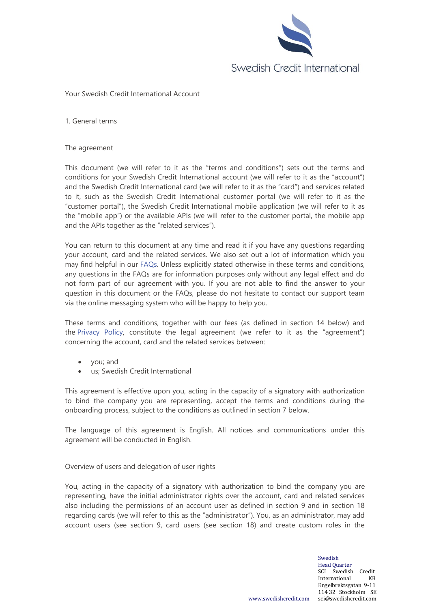

### Your Swedish Credit International Account

1. General terms

### The agreement

This document (we will refer to it as the "terms and conditions") sets out the terms and conditions for your Swedish Credit International account (we will refer to it as the "account") and the Swedish Credit International card (we will refer to it as the "card") and services related to it, such as the Swedish Credit International customer portal (we will refer to it as the "customer portal"), the Swedish Credit International mobile application (we will refer to it as the "mobile app") or the available APIs (we will refer to the customer portal, the mobile app and the APIs together as the "related services").

You can return to this document at any time and read it if you have any questions regarding your account, card and the related services. We also set out a lot of information which you may find helpful in our [FAQs.](https://swedishcredit.com/faqs) Unless explicitly stated otherwise in these terms and conditions, any questions in the FAQs are for information purposes only without any legal effect and do not form part of our agreement with you. If you are not able to find the answer to your question in this document or the FAQs, please do not hesitate to contact our support team via the online messaging system who will be happy to help you.

These terms and conditions, together with our fees (as defined in section 14 below) and the [Privacy Policy](https://swedishcredit.com/privacy-policy), constitute the legal agreement (we refer to it as the "agreement") concerning the account, card and the related services between:

- you; and
- us; Swedish Credit International

This agreement is effective upon you, acting in the capacity of a signatory with authorization to bind the company you are representing, accept the terms and conditions during the onboarding process, subject to the conditions as outlined in section 7 below.

The language of this agreement is English. All notices and communications under this agreement will be conducted in English.

Overview of users and delegation of user rights

You, acting in the capacity of a signatory with authorization to bind the company you are representing, have the initial administrator rights over the account, card and related services also including the permissions of an account user as defined in section 9 and in section 18 regarding cards (we will refer to this as the "administrator"). You, as an administrator, may add account users (see section 9, card users (see section 18) and create custom roles in the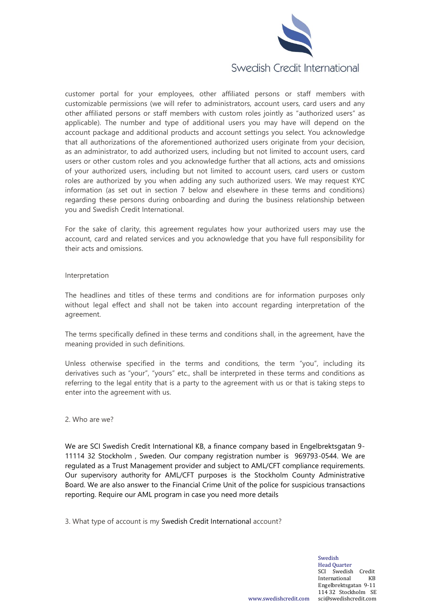

customer portal for your employees, other affiliated persons or staff members with customizable permissions (we will refer to administrators, account users, card users and any other affiliated persons or staff members with custom roles jointly as "authorized users" as applicable). The number and type of additional users you may have will depend on the account package and additional products and account settings you select. You acknowledge that all authorizations of the aforementioned authorized users originate from your decision, as an administrator, to add authorized users, including but not limited to account users, card users or other custom roles and you acknowledge further that all actions, acts and omissions of your authorized users, including but not limited to account users, card users or custom roles are authorized by you when adding any such authorized users. We may request KYC information (as set out in section 7 below and elsewhere in these terms and conditions) regarding these persons during onboarding and during the business relationship between you and Swedish Credit International.

For the sake of clarity, this agreement regulates how your authorized users may use the account, card and related services and you acknowledge that you have full responsibility for their acts and omissions.

### Interpretation

The headlines and titles of these terms and conditions are for information purposes only without legal effect and shall not be taken into account regarding interpretation of the agreement.

The terms specifically defined in these terms and conditions shall, in the agreement, have the meaning provided in such definitions.

Unless otherwise specified in the terms and conditions, the term "you", including its derivatives such as "your", "yours" etc., shall be interpreted in these terms and conditions as referring to the legal entity that is a party to the agreement with us or that is taking steps to enter into the agreement with us.

#### 2. Who are we?

We are SCI Swedish Credit International KB, a finance company based in Engelbrektsgatan 9- 11114 32 Stockholm , Sweden. Our company registration number is 969793-0544. We are regulated as a Trust Management provider and subject to AML/CFT compliance requirements. Our supervisory authority for AML/CFT purposes is the Stockholm County Administrative Board. We are also answer to the Financial Crime Unit of the police for suspicious transactions reporting. Require our AML program in case you need more details

3. What type of account is my Swedish Credit International account?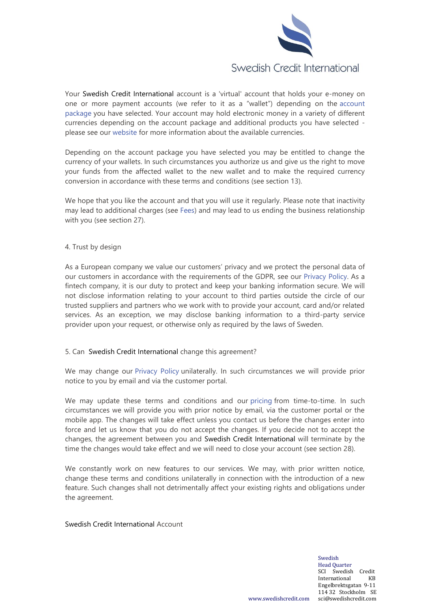

Your Swedish Credit International account is a 'virtual' account that holds your e-money on one or more payment accounts (we refer to it as a "wallet") depending on the [account](https://swedishcredit.com/prices)  [package](https://swedishcredit.com/prices) you have selected. Your account may hold electronic money in a variety of different currencies depending on the account package and additional products you have selected please see our [website](https://swedishcredit.com/) for more information about the available currencies.

Depending on the account package you have selected you may be entitled to change the currency of your wallets. In such circumstances you authorize us and give us the right to move your funds from the affected wallet to the new wallet and to make the required currency conversion in accordance with these terms and conditions (see section 13).

We hope that you like the account and that you will use it regularly. Please note that inactivity may lead to additional charges (see [Fees\)](https://swedishcredit.com/prices) and may lead to us ending the business relationship with you (see section 27).

## 4. Trust by design

As a European company we value our customers' privacy and we protect the personal data of our customers in accordance with the requirements of the GDPR, see our [Privacy Policy.](https://swedishcredit.com/privacy-policy) As a fintech company, it is our duty to protect and keep your banking information secure. We will not disclose information relating to your account to third parties outside the circle of our trusted suppliers and partners who we work with to provide your account, card and/or related services. As an exception, we may disclose banking information to a third-party service provider upon your request, or otherwise only as required by the laws of Sweden.

## 5. Can Swedish Credit International change this agreement?

We may change our [Privacy Policy](https://swedishcredit.com/privacy-policy) unilaterally. In such circumstances we will provide prior notice to you by email and via the customer portal.

We may update these terms and conditions and our [pricing](https://swedishcredit.com/prices) from time-to-time. In such circumstances we will provide you with prior notice by email, via the customer portal or the mobile app. The changes will take effect unless you contact us before the changes enter into force and let us know that you do not accept the changes. If you decide not to accept the changes, the agreement between you and Swedish Credit International will terminate by the time the changes would take effect and we will need to close your account (see section 28).

We constantly work on new features to our services. We may, with prior written notice, change these terms and conditions unilaterally in connection with the introduction of a new feature. Such changes shall not detrimentally affect your existing rights and obligations under the agreement.

## Swedish Credit International Account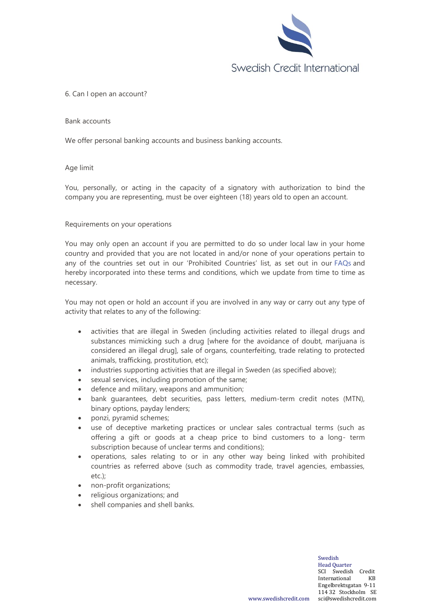

## 6. Can I open an account?

### Bank accounts

We offer personal banking accounts and business banking accounts.

## Age limit

You, personally, or acting in the capacity of a signatory with authorization to bind the company you are representing, must be over eighteen (18) years old to open an account.

## Requirements on your operations

You may only open an account if you are permitted to do so under local law in your home country and provided that you are not located in and/or none of your operations pertain to any of the countries set out in our 'Prohibited Countries' list, as set out in our [FAQs](https://swedishcredit.com/faqs) and hereby incorporated into these terms and conditions, which we update from time to time as necessary.

You may not open or hold an account if you are involved in any way or carry out any type of activity that relates to any of the following:

- activities that are illegal in Sweden (including activities related to illegal drugs and substances mimicking such a drug [where for the avoidance of doubt, marijuana is considered an illegal drug], sale of organs, counterfeiting, trade relating to protected animals, trafficking, prostitution, etc);
- industries supporting activities that are illegal in Sweden (as specified above);
- sexual services, including promotion of the same;
- defence and military, weapons and ammunition;
- bank guarantees, debt securities, pass letters, medium-term credit notes (MTN), binary options, payday lenders;
- ponzi, pyramid schemes;
- use of deceptive marketing practices or unclear sales contractual terms (such as offering a gift or goods at a cheap price to bind customers to a long- term subscription because of unclear terms and conditions);
- operations, sales relating to or in any other way being linked with prohibited countries as referred above (such as commodity trade, travel agencies, embassies, etc.);
- non-profit organizations;
- religious organizations; and
- shell companies and shell banks.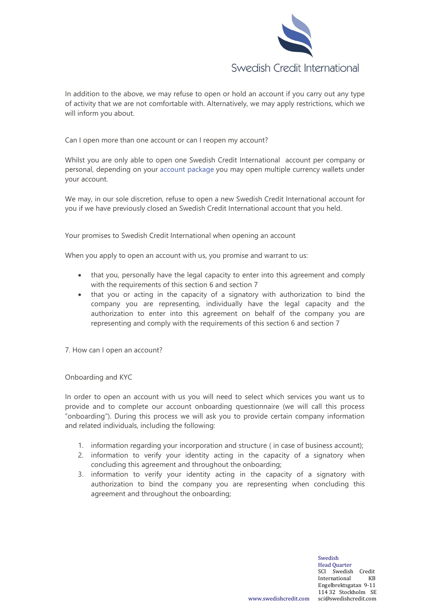

In addition to the above, we may refuse to open or hold an account if you carry out any type of activity that we are not comfortable with. Alternatively, we may apply restrictions, which we will inform you about.

Can I open more than one account or can I reopen my account?

Whilst you are only able to open one Swedish Credit International account per company or personal, depending on your [account package](https://swedishcredit.com/prices) you may open multiple currency wallets under your account.

We may, in our sole discretion, refuse to open a new Swedish Credit International account for you if we have previously closed an Swedish Credit International account that you held.

Your promises to Swedish Credit International when opening an account

When you apply to open an account with us, you promise and warrant to us:

- that you, personally have the legal capacity to enter into this agreement and comply with the requirements of this section 6 and section 7
- that you or acting in the capacity of a signatory with authorization to bind the company you are representing, individually have the legal capacity and the authorization to enter into this agreement on behalf of the company you are representing and comply with the requirements of this section 6 and section 7

7. How can I open an account?

Onboarding and KYC

In order to open an account with us you will need to select which services you want us to provide and to complete our account onboarding questionnaire (we will call this process "onboarding"). During this process we will ask you to provide certain company information and related individuals, including the following:

- 1. information regarding your incorporation and structure ( in case of business account);
- 2. information to verify your identity acting in the capacity of a signatory when concluding this agreement and throughout the onboarding;
- 3. information to verify your identity acting in the capacity of a signatory with authorization to bind the company you are representing when concluding this agreement and throughout the onboarding;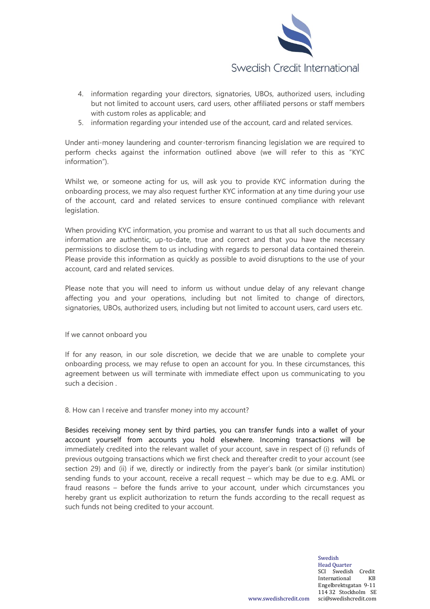

- 4. information regarding your directors, signatories, UBOs, authorized users, including but not limited to account users, card users, other affiliated persons or staff members with custom roles as applicable; and
- 5. information regarding your intended use of the account, card and related services.

Under anti-money laundering and counter-terrorism financing legislation we are required to perform checks against the information outlined above (we will refer to this as "KYC information").

Whilst we, or someone acting for us, will ask you to provide KYC information during the onboarding process, we may also request further KYC information at any time during your use of the account, card and related services to ensure continued compliance with relevant legislation.

When providing KYC information, you promise and warrant to us that all such documents and information are authentic, up-to-date, true and correct and that you have the necessary permissions to disclose them to us including with regards to personal data contained therein. Please provide this information as quickly as possible to avoid disruptions to the use of your account, card and related services.

Please note that you will need to inform us without undue delay of any relevant change affecting you and your operations, including but not limited to change of directors, signatories, UBOs, authorized users, including but not limited to account users, card users etc.

If we cannot onboard you

If for any reason, in our sole discretion, we decide that we are unable to complete your onboarding process, we may refuse to open an account for you. In these circumstances, this agreement between us will terminate with immediate effect upon us communicating to you such a decision .

8. How can I receive and transfer money into my account?

Besides receiving money sent by third parties, you can transfer funds into a wallet of your account yourself from accounts you hold elsewhere. Incoming transactions will be immediately credited into the relevant wallet of your account, save in respect of (i) refunds of previous outgoing transactions which we first check and thereafter credit to your account (see section 29) and (ii) if we, directly or indirectly from the payer's bank (or similar institution) sending funds to your account, receive a recall request – which may be due to e.g. AML or fraud reasons – before the funds arrive to your account, under which circumstances you hereby grant us explicit authorization to return the funds according to the recall request as such funds not being credited to your account.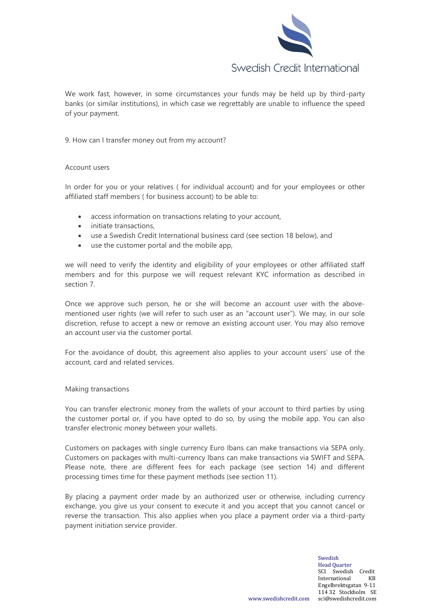

We work fast, however, in some circumstances your funds may be held up by third-party banks (or similar institutions), in which case we regrettably are unable to influence the speed of your payment.

## 9. How can I transfer money out from my account?

#### Account users

In order for you or your relatives ( for individual account) and for your employees or other affiliated staff members ( for business account) to be able to:

- access information on transactions relating to your account,
- initiate transactions.
- use a Swedish Credit International business card (see section 18 below), and
- use the customer portal and the mobile app,

we will need to verify the identity and eligibility of your employees or other affiliated staff members and for this purpose we will request relevant KYC information as described in section 7.

Once we approve such person, he or she will become an account user with the abovementioned user rights (we will refer to such user as an "account user"). We may, in our sole discretion, refuse to accept a new or remove an existing account user. You may also remove an account user via the customer portal.

For the avoidance of doubt, this agreement also applies to your account users' use of the account, card and related services.

#### Making transactions

You can transfer electronic money from the wallets of your account to third parties by using the customer portal or, if you have opted to do so, by using the mobile app. You can also transfer electronic money between your wallets.

Customers on packages with single currency Euro Ibans can make transactions via SEPA only. Customers on packages with multi-currency Ibans can make transactions via SWIFT and SEPA. Please note, there are different fees for each package (see section 14) and different processing times time for these payment methods (see section 11).

By placing a payment order made by an authorized user or otherwise, including currency exchange, you give us your consent to execute it and you accept that you cannot cancel or reverse the transaction. This also applies when you place a payment order via a third-party payment initiation service provider.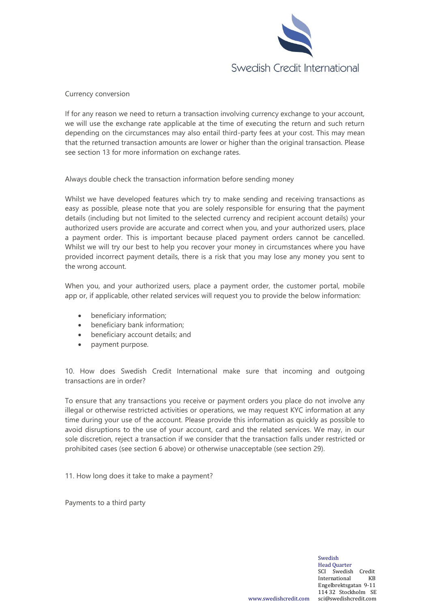

Currency conversion

If for any reason we need to return a transaction involving currency exchange to your account, we will use the exchange rate applicable at the time of executing the return and such return depending on the circumstances may also entail third-party fees at your cost. This may mean that the returned transaction amounts are lower or higher than the original transaction. Please see section 13 for more information on exchange rates.

Always double check the transaction information before sending money

Whilst we have developed features which try to make sending and receiving transactions as easy as possible, please note that you are solely responsible for ensuring that the payment details (including but not limited to the selected currency and recipient account details) your authorized users provide are accurate and correct when you, and your authorized users, place a payment order. This is important because placed payment orders cannot be cancelled. Whilst we will try our best to help you recover your money in circumstances where you have provided incorrect payment details, there is a risk that you may lose any money you sent to the wrong account.

When you, and your authorized users, place a payment order, the customer portal, mobile app or, if applicable, other related services will request you to provide the below information:

- beneficiary information;
- beneficiary bank information;
- beneficiary account details; and
- payment purpose.

10. How does Swedish Credit International make sure that incoming and outgoing transactions are in order?

To ensure that any transactions you receive or payment orders you place do not involve any illegal or otherwise restricted activities or operations, we may request KYC information at any time during your use of the account. Please provide this information as quickly as possible to avoid disruptions to the use of your account, card and the related services. We may, in our sole discretion, reject a transaction if we consider that the transaction falls under restricted or prohibited cases (see section 6 above) or otherwise unacceptable (see section 29).

11. How long does it take to make a payment?

Payments to a third party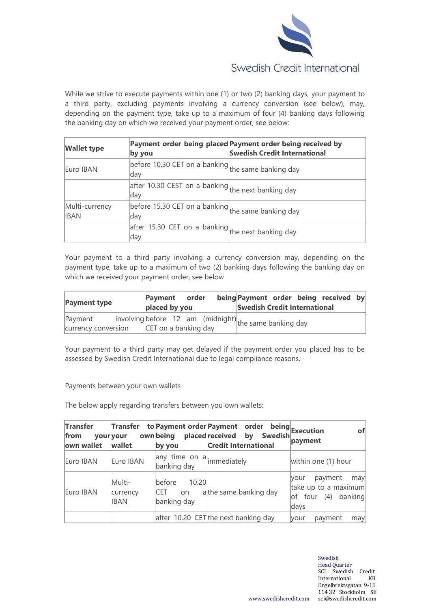

While we strive to execute payments within one (1) or two (2) banking days, your payment to a third party, excluding payments involving a currency conversion (see below), may, depending on the payment type, take up to a maximum of four (4) banking days following the banking day on which we received your payment order, see below:

| <b>Wallet type</b>            | by you                                                     | Payment order being placed Payment order being received by<br><b>Swedish Credit International</b> |
|-------------------------------|------------------------------------------------------------|---------------------------------------------------------------------------------------------------|
| Euro IBAN                     | before 10.30 CET on a banking the same banking day<br> day |                                                                                                   |
|                               | after 10.30 CEST on a banking the next banking day<br> day |                                                                                                   |
| Multi-currency<br><b>IBAN</b> | before 15.30 CET on a banking the same banking day<br>lday |                                                                                                   |
|                               | after 15.30 CET on a banking the next banking day<br> day  |                                                                                                   |

Your payment to a third party involving a currency conversion may, depending on the payment type, take up to a maximum of two (2) banking days following the banking day on which we received your payment order, see below

| <b>Payment type</b>            | Payment order<br>placed by you                                                    | being Payment order being received by<br><b>Swedish Credit International</b> |
|--------------------------------|-----------------------------------------------------------------------------------|------------------------------------------------------------------------------|
| Payment<br>currency conversion | $involving before 12 am (midnight) $ the same banking day<br>CET on a banking day |                                                                              |

Your payment to a third party may get delayed if the payment order you placed has to be assessed by Swedish Credit International due to legal compliance reasons.

Payments between your own wallets

The below apply regarding transfers between you own wallets:

| <b>Transfer</b><br>from<br>own wallet | Transfer<br>your your<br>wallet   | ownbeing<br>by you                          | to Payment order Payment order being Execution<br>placed received by Swedish<br><b>Credit International</b> | of<br>payment                                                              |
|---------------------------------------|-----------------------------------|---------------------------------------------|-------------------------------------------------------------------------------------------------------------|----------------------------------------------------------------------------|
| Euro IBAN                             | Euro IBAN                         | any time on $a $ immediately<br>banking day |                                                                                                             | within one (1) hour                                                        |
| Euro IBAN                             | Multi-<br>currency<br><b>IBAN</b> | 10.20<br>before<br>CET on<br>banking day    | athe same banking day                                                                                       | payment may<br>vour<br>take up to a maximum<br>of four (4) banking<br>days |
|                                       |                                   |                                             | after 10.20 CET the next banking day                                                                        | payment<br><b>vour</b><br>may                                              |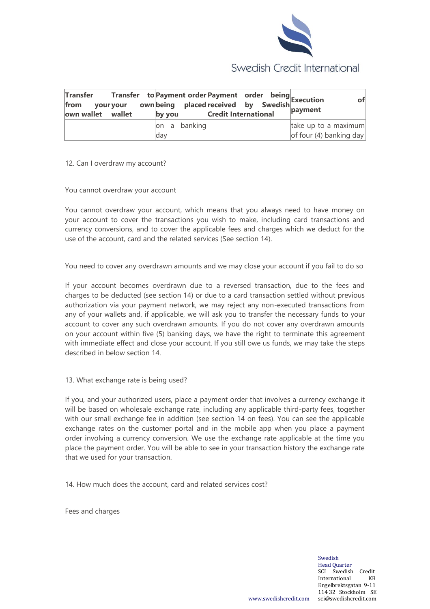

| Transfer<br>your your<br>from<br>own wallet   wallet | Transfer to Payment order Payment order being Execution | by you       | <b>Credit International</b> |  | payment                 |
|------------------------------------------------------|---------------------------------------------------------|--------------|-----------------------------|--|-------------------------|
|                                                      |                                                         | on a banking |                             |  | take up to a maximum    |
|                                                      |                                                         | ldav         |                             |  | of four (4) banking day |

12. Can I overdraw my account?

You cannot overdraw your account

You cannot overdraw your account, which means that you always need to have money on your account to cover the transactions you wish to make, including card transactions and currency conversions, and to cover the applicable fees and charges which we deduct for the use of the account, card and the related services (See section 14).

You need to cover any overdrawn amounts and we may close your account if you fail to do so

If your account becomes overdrawn due to a reversed transaction, due to the fees and charges to be deducted (see section 14) or due to a card transaction settled without previous authorization via your payment network, we may reject any non-executed transactions from any of your wallets and, if applicable, we will ask you to transfer the necessary funds to your account to cover any such overdrawn amounts. If you do not cover any overdrawn amounts on your account within five (5) banking days, we have the right to terminate this agreement with immediate effect and close your account. If you still owe us funds, we may take the steps described in below section 14.

13. What exchange rate is being used?

If you, and your authorized users, place a payment order that involves a currency exchange it will be based on wholesale exchange rate, including any applicable third-party fees, together with our small exchange fee in addition (see section 14 on fees). You can see the applicable exchange rates on the customer portal and in the mobile app when you place a payment order involving a currency conversion. We use the exchange rate applicable at the time you place the payment order. You will be able to see in your transaction history the exchange rate that we used for your transaction.

14. How much does the account, card and related services cost?

Fees and charges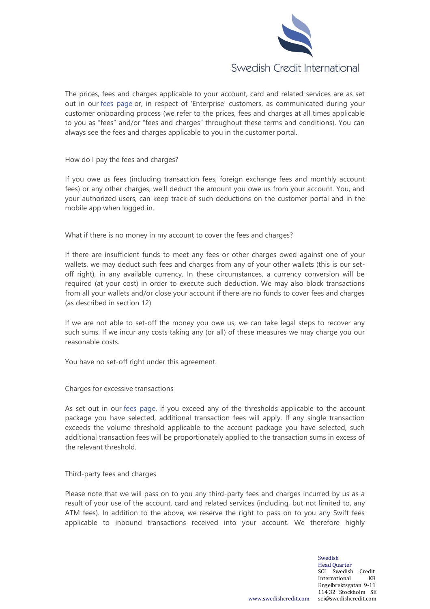

The prices, fees and charges applicable to your account, card and related services are as set out in our [fees page](https://swedishcredit.com/prices) or, in respect of 'Enterprise' customers, as communicated during your customer onboarding process (we refer to the prices, fees and charges at all times applicable to you as "fees" and/or "fees and charges" throughout these terms and conditions). You can always see the fees and charges applicable to you in the customer portal.

How do I pay the fees and charges?

If you owe us fees (including transaction fees, foreign exchange fees and monthly account fees) or any other charges, we'll deduct the amount you owe us from your account. You, and your authorized users, can keep track of such deductions on the customer portal and in the mobile app when logged in.

What if there is no money in my account to cover the fees and charges?

If there are insufficient funds to meet any fees or other charges owed against one of your wallets, we may deduct such fees and charges from any of your other wallets (this is our setoff right), in any available currency. In these circumstances, a currency conversion will be required (at your cost) in order to execute such deduction. We may also block transactions from all your wallets and/or close your account if there are no funds to cover fees and charges (as described in section 12)

If we are not able to set-off the money you owe us, we can take legal steps to recover any such sums. If we incur any costs taking any (or all) of these measures we may charge you our reasonable costs.

You have no set-off right under this agreement.

Charges for excessive transactions

As set out in our [fees page,](https://swedishcredit.com/prices) if you exceed any of the thresholds applicable to the account package you have selected, additional transaction fees will apply. If any single transaction exceeds the volume threshold applicable to the account package you have selected, such additional transaction fees will be proportionately applied to the transaction sums in excess of the relevant threshold.

Third-party fees and charges

Please note that we will pass on to you any third-party fees and charges incurred by us as a result of your use of the account, card and related services (including, but not limited to, any ATM fees). In addition to the above, we reserve the right to pass on to you any Swift fees applicable to inbound transactions received into your account. We therefore highly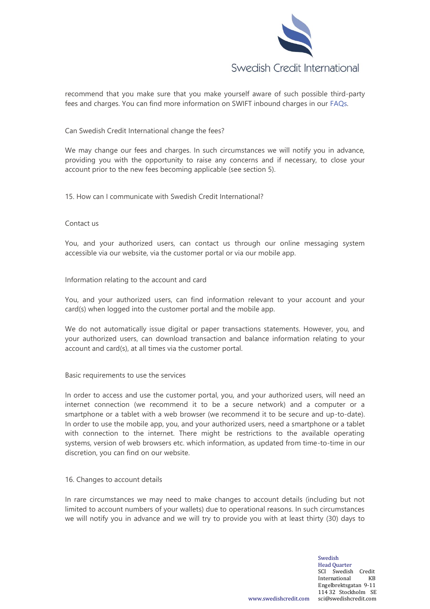

recommend that you make sure that you make yourself aware of such possible third-party fees and charges. You can find more information on SWIFT inbound charges in our [FAQs.](https://swedishcredit.com/faqs)

Can Swedish Credit International change the fees?

We may change our fees and charges. In such circumstances we will notify you in advance, providing you with the opportunity to raise any concerns and if necessary, to close your account prior to the new fees becoming applicable (see section 5).

15. How can I communicate with Swedish Credit International?

### Contact us

You, and your authorized users, can contact us through our online messaging system accessible via our website, via the customer portal or via our mobile app.

Information relating to the account and card

You, and your authorized users, can find information relevant to your account and your card(s) when logged into the customer portal and the mobile app.

We do not automatically issue digital or paper transactions statements. However, you, and your authorized users, can download transaction and balance information relating to your account and card(s), at all times via the customer portal.

Basic requirements to use the services

In order to access and use the customer portal, you, and your authorized users, will need an internet connection (we recommend it to be a secure network) and a computer or a smartphone or a tablet with a web browser (we recommend it to be secure and up-to-date). In order to use the mobile app, you, and your authorized users, need a smartphone or a tablet with connection to the internet. There might be restrictions to the available operating systems, version of web browsers etc. which information, as updated from time-to-time in our discretion, you can find on our website.

## 16. Changes to account details

In rare circumstances we may need to make changes to account details (including but not limited to account numbers of your wallets) due to operational reasons. In such circumstances we will notify you in advance and we will try to provide you with at least thirty (30) days to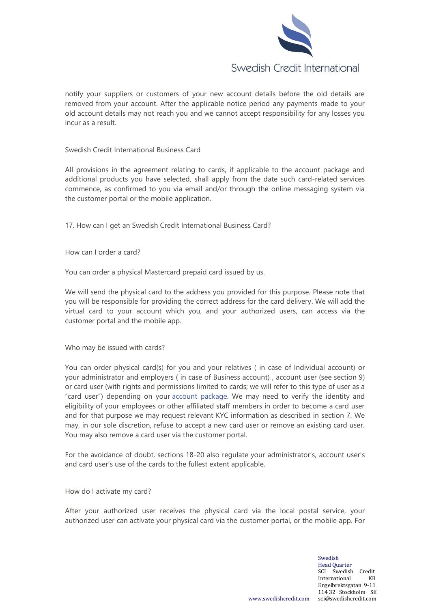

notify your suppliers or customers of your new account details before the old details are removed from your account. After the applicable notice period any payments made to your old account details may not reach you and we cannot accept responsibility for any losses you incur as a result.

Swedish Credit International Business Card

All provisions in the agreement relating to cards, if applicable to the account package and additional products you have selected, shall apply from the date such card-related services commence, as confirmed to you via email and/or through the online messaging system via the customer portal or the mobile application.

17. How can I get an Swedish Credit International Business Card?

How can I order a card?

You can order a physical Mastercard prepaid card issued by us.

We will send the physical card to the address you provided for this purpose. Please note that you will be responsible for providing the correct address for the card delivery. We will add the virtual card to your account which you, and your authorized users, can access via the customer portal and the mobile app.

Who may be issued with cards?

You can order physical card(s) for you and your relatives ( in case of Individual account) or your administrator and employers ( in case of Business account) , account user (see section 9) or card user (with rights and permissions limited to cards; we will refer to this type of user as a "card user") depending on your [account package.](https://swedishcredit.com/prices) We may need to verify the identity and eligibility of your employees or other affiliated staff members in order to become a card user and for that purpose we may request relevant KYC information as described in section 7. We may, in our sole discretion, refuse to accept a new card user or remove an existing card user. You may also remove a card user via the customer portal.

For the avoidance of doubt, sections 18-20 also regulate your administrator's, account user's and card user's use of the cards to the fullest extent applicable.

How do I activate my card?

After your authorized user receives the physical card via the local postal service, your authorized user can activate your physical card via the customer portal, or the mobile app. For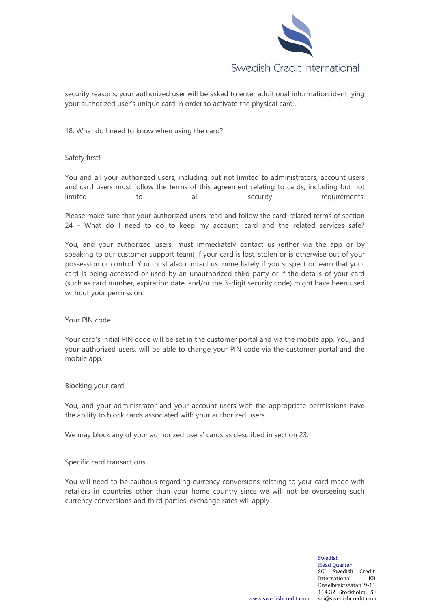

security reasons, your authorized user will be asked to enter additional information identifying your authorized user's unique card in order to activate the physical card..

18. What do I need to know when using the card?

## Safety first!

You and all your authorized users, including but not limited to administrators, account users and card users must follow the terms of this agreement relating to cards, including but not limited to all security requirements.

Please make sure that your authorized users read and follow the card-related terms of section 24 - What do I need to do to keep my account, card and the related services safe?

You, and your authorized users, must immediately contact us (either via the app or by speaking to our customer support team) if your card is lost, stolen or is otherwise out of your possession or control. You must also contact us immediately if you suspect or learn that your card is being accessed or used by an unauthorized third party or if the details of your card (such as card number, expiration date, and/or the 3-digit security code) might have been used without your permission.

#### Your PIN code

Your card's initial PIN code will be set in the customer portal and via the mobile app. You, and your authorized users, will be able to change your PIN code via the customer portal and the mobile app.

#### Blocking your card

You, and your administrator and your account users with the appropriate permissions have the ability to block cards associated with your authorized users.

We may block any of your authorized users' cards as described in section 23.

#### Specific card transactions

You will need to be cautious regarding currency conversions relating to your card made with retailers in countries other than your home country since we will not be overseeing such currency conversions and third parties' exchange rates will apply.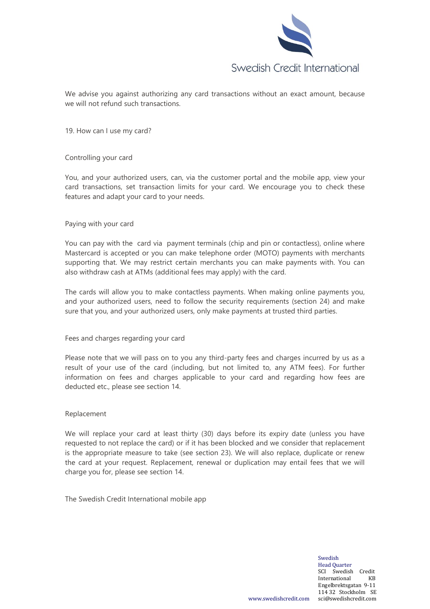

We advise you against authorizing any card transactions without an exact amount, because we will not refund such transactions.

19. How can I use my card?

### Controlling your card

You, and your authorized users, can, via the customer portal and the mobile app, view your card transactions, set transaction limits for your card. We encourage you to check these features and adapt your card to your needs.

### Paying with your card

You can pay with the card via payment terminals (chip and pin or contactless), online where Mastercard is accepted or you can make telephone order (MOTO) payments with merchants supporting that. We may restrict certain merchants you can make payments with. You can also withdraw cash at ATMs (additional fees may apply) with the card.

The cards will allow you to make contactless payments. When making online payments you, and your authorized users, need to follow the security requirements (section 24) and make sure that you, and your authorized users, only make payments at trusted third parties.

## Fees and charges regarding your card

Please note that we will pass on to you any third-party fees and charges incurred by us as a result of your use of the card (including, but not limited to, any ATM fees). For further information on fees and charges applicable to your card and regarding how fees are deducted etc., please see section 14.

#### Replacement

We will replace your card at least thirty (30) days before its expiry date (unless you have requested to not replace the card) or if it has been blocked and we consider that replacement is the appropriate measure to take (see section 23). We will also replace, duplicate or renew the card at your request. Replacement, renewal or duplication may entail fees that we will charge you for, please see section 14.

The Swedish Credit International mobile app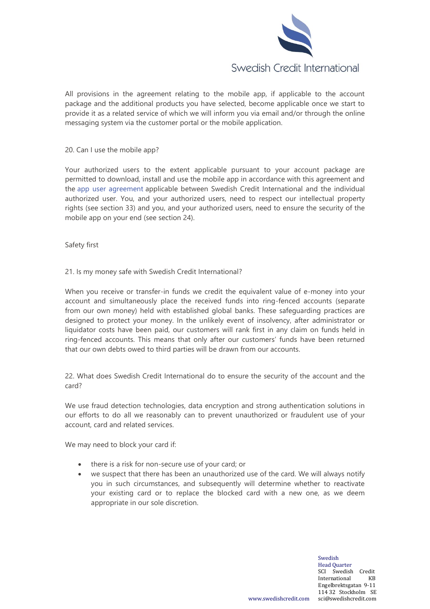

All provisions in the agreement relating to the mobile app, if applicable to the account package and the additional products you have selected, become applicable once we start to provide it as a related service of which we will inform you via email and/or through the online messaging system via the customer portal or the mobile application.

### 20. Can I use the mobile app?

Your authorized users to the extent applicable pursuant to your account package are permitted to download, install and use the mobile app in accordance with this agreement and the [app user agreement](https://swedishcredit.com/app-user-agreement) applicable between Swedish Credit International and the individual authorized user. You, and your authorized users, need to respect our intellectual property rights (see section 33) and you, and your authorized users, need to ensure the security of the mobile app on your end (see section 24).

Safety first

## 21. Is my money safe with Swedish Credit International?

When you receive or transfer-in funds we credit the equivalent value of e-money into your account and simultaneously place the received funds into ring-fenced accounts (separate from our own money) held with established global banks. These safeguarding practices are designed to protect your money. In the unlikely event of insolvency, after administrator or liquidator costs have been paid, our customers will rank first in any claim on funds held in ring-fenced accounts. This means that only after our customers' funds have been returned that our own debts owed to third parties will be drawn from our accounts.

22. What does Swedish Credit International do to ensure the security of the account and the card?

We use fraud detection technologies, data encryption and strong authentication solutions in our efforts to do all we reasonably can to prevent unauthorized or fraudulent use of your account, card and related services.

We may need to block your card if:

- there is a risk for non-secure use of your card; or
- we suspect that there has been an unauthorized use of the card. We will always notify you in such circumstances, and subsequently will determine whether to reactivate your existing card or to replace the blocked card with a new one, as we deem appropriate in our sole discretion.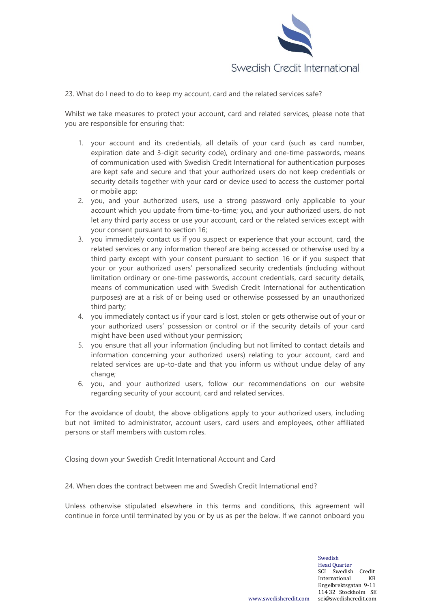

23. What do I need to do to keep my account, card and the related services safe?

Whilst we take measures to protect your account, card and related services, please note that you are responsible for ensuring that:

- 1. your account and its credentials, all details of your card (such as card number, expiration date and 3-digit security code), ordinary and one-time passwords, means of communication used with Swedish Credit International for authentication purposes are kept safe and secure and that your authorized users do not keep credentials or security details together with your card or device used to access the customer portal or mobile app;
- 2. you, and your authorized users, use a strong password only applicable to your account which you update from time-to-time; you, and your authorized users, do not let any third party access or use your account, card or the related services except with your consent pursuant to section 16;
- 3. you immediately contact us if you suspect or experience that your account, card, the related services or any information thereof are being accessed or otherwise used by a third party except with your consent pursuant to section 16 or if you suspect that your or your authorized users' personalized security credentials (including without limitation ordinary or one-time passwords, account credentials, card security details, means of communication used with Swedish Credit International for authentication purposes) are at a risk of or being used or otherwise possessed by an unauthorized third party;
- 4. you immediately contact us if your card is lost, stolen or gets otherwise out of your or your authorized users' possession or control or if the security details of your card might have been used without your permission;
- 5. you ensure that all your information (including but not limited to contact details and information concerning your authorized users) relating to your account, card and related services are up-to-date and that you inform us without undue delay of any change;
- 6. you, and your authorized users, follow our recommendations on our website regarding security of your account, card and related services.

For the avoidance of doubt, the above obligations apply to your authorized users, including but not limited to administrator, account users, card users and employees, other affiliated persons or staff members with custom roles.

Closing down your Swedish Credit International Account and Card

24. When does the contract between me and Swedish Credit International end?

Unless otherwise stipulated elsewhere in this terms and conditions, this agreement will continue in force until terminated by you or by us as per the below. If we cannot onboard you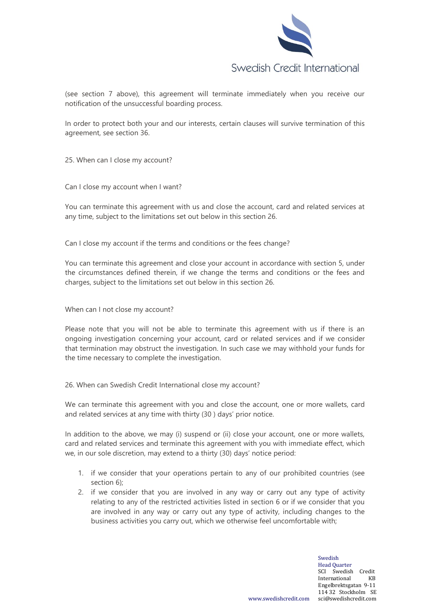

(see section 7 above), this agreement will terminate immediately when you receive our notification of the unsuccessful boarding process.

In order to protect both your and our interests, certain clauses will survive termination of this agreement, see section 36.

25. When can I close my account?

Can I close my account when I want?

You can terminate this agreement with us and close the account, card and related services at any time, subject to the limitations set out below in this section 26.

Can I close my account if the terms and conditions or the fees change?

You can terminate this agreement and close your account in accordance with section 5, under the circumstances defined therein, if we change the terms and conditions or the fees and charges, subject to the limitations set out below in this section 26.

When can I not close my account?

Please note that you will not be able to terminate this agreement with us if there is an ongoing investigation concerning your account, card or related services and if we consider that termination may obstruct the investigation. In such case we may withhold your funds for the time necessary to complete the investigation.

26. When can Swedish Credit International close my account?

We can terminate this agreement with you and close the account, one or more wallets, card and related services at any time with thirty (30 ) days' prior notice.

In addition to the above, we may (i) suspend or (ii) close your account, one or more wallets, card and related services and terminate this agreement with you with immediate effect, which we, in our sole discretion, may extend to a thirty (30) days' notice period:

- 1. if we consider that your operations pertain to any of our prohibited countries (see section 6);
- 2. if we consider that you are involved in any way or carry out any type of activity relating to any of the restricted activities listed in section 6 or if we consider that you are involved in any way or carry out any type of activity, including changes to the business activities you carry out, which we otherwise feel uncomfortable with;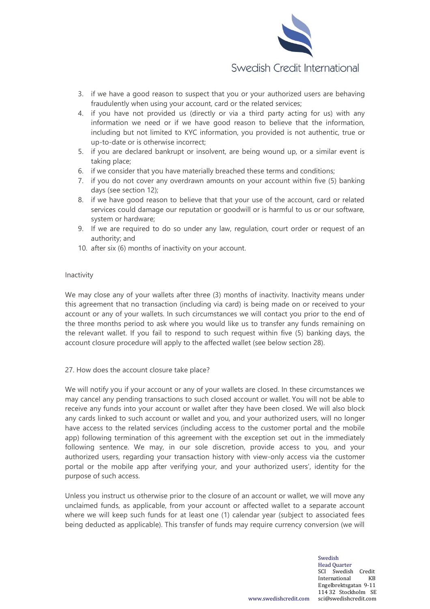

- 3. if we have a good reason to suspect that you or your authorized users are behaving fraudulently when using your account, card or the related services;
- 4. if you have not provided us (directly or via a third party acting for us) with any information we need or if we have good reason to believe that the information, including but not limited to KYC information, you provided is not authentic, true or up-to-date or is otherwise incorrect;
- 5. if you are declared bankrupt or insolvent, are being wound up, or a similar event is taking place;
- 6. if we consider that you have materially breached these terms and conditions;
- 7. if you do not cover any overdrawn amounts on your account within five (5) banking days (see section 12);
- 8. if we have good reason to believe that that your use of the account, card or related services could damage our reputation or goodwill or is harmful to us or our software, system or hardware;
- 9. If we are required to do so under any law, regulation, court order or request of an authority; and
- 10. after six (6) months of inactivity on your account.

# Inactivity

We may close any of your wallets after three (3) months of inactivity. Inactivity means under this agreement that no transaction (including via card) is being made on or received to your account or any of your wallets. In such circumstances we will contact you prior to the end of the three months period to ask where you would like us to transfer any funds remaining on the relevant wallet. If you fail to respond to such request within five (5) banking days, the account closure procedure will apply to the affected wallet (see below section 28).

## 27. How does the account closure take place?

We will notify you if your account or any of your wallets are closed. In these circumstances we may cancel any pending transactions to such closed account or wallet. You will not be able to receive any funds into your account or wallet after they have been closed. We will also block any cards linked to such account or wallet and you, and your authorized users, will no longer have access to the related services (including access to the customer portal and the mobile app) following termination of this agreement with the exception set out in the immediately following sentence. We may, in our sole discretion, provide access to you, and your authorized users, regarding your transaction history with view-only access via the customer portal or the mobile app after verifying your, and your authorized users', identity for the purpose of such access.

Unless you instruct us otherwise prior to the closure of an account or wallet, we will move any unclaimed funds, as applicable, from your account or affected wallet to a separate account where we will keep such funds for at least one (1) calendar year (subject to associated fees being deducted as applicable). This transfer of funds may require currency conversion (we will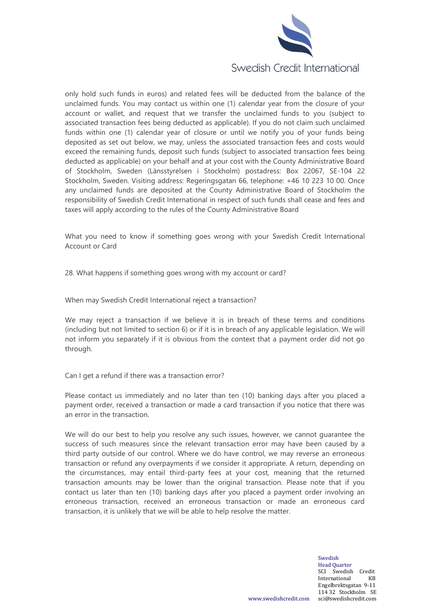

only hold such funds in euros) and related fees will be deducted from the balance of the unclaimed funds. You may contact us within one (1) calendar year from the closure of your account or wallet, and request that we transfer the unclaimed funds to you (subject to associated transaction fees being deducted as applicable). If you do not claim such unclaimed funds within one (1) calendar year of closure or until we notify you of your funds being deposited as set out below, we may, unless the associated transaction fees and costs would exceed the remaining funds, deposit such funds (subject to associated transaction fees being deducted as applicable) on your behalf and at your cost with the County Administrative Board of Stockholm, Sweden (Länsstyrelsen i Stockholm) postadress: Box 22067, SE-104 22 Stockholm, Sweden. Visiting address: Regeringsgatan 66, telephone: +46 10 223 10 00. Once any unclaimed funds are deposited at the County Administrative Board of Stockholm the responsibility of Swedish Credit International in respect of such funds shall cease and fees and taxes will apply according to the rules of the County Administrative Board

What you need to know if something goes wrong with your Swedish Credit International Account or Card

28. What happens if something goes wrong with my account or card?

When may Swedish Credit International reject a transaction?

We may reject a transaction if we believe it is in breach of these terms and conditions (including but not limited to section 6) or if it is in breach of any applicable legislation. We will not inform you separately if it is obvious from the context that a payment order did not go through.

Can I get a refund if there was a transaction error?

Please contact us immediately and no later than ten (10) banking days after you placed a payment order, received a transaction or made a card transaction if you notice that there was an error in the transaction.

We will do our best to help you resolve any such issues, however, we cannot guarantee the success of such measures since the relevant transaction error may have been caused by a third party outside of our control. Where we do have control, we may reverse an erroneous transaction or refund any overpayments if we consider it appropriate. A return, depending on the circumstances, may entail third-party fees at your cost, meaning that the returned transaction amounts may be lower than the original transaction. Please note that if you contact us later than ten (10) banking days after you placed a payment order involving an erroneous transaction, received an erroneous transaction or made an erroneous card transaction, it is unlikely that we will be able to help resolve the matter.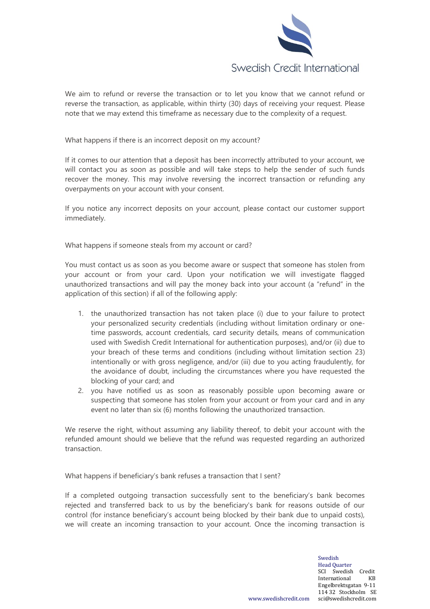

We aim to refund or reverse the transaction or to let you know that we cannot refund or reverse the transaction, as applicable, within thirty (30) days of receiving your request. Please note that we may extend this timeframe as necessary due to the complexity of a request.

What happens if there is an incorrect deposit on my account?

If it comes to our attention that a deposit has been incorrectly attributed to your account, we will contact you as soon as possible and will take steps to help the sender of such funds recover the money. This may involve reversing the incorrect transaction or refunding any overpayments on your account with your consent.

If you notice any incorrect deposits on your account, please contact our customer support immediately.

What happens if someone steals from my account or card?

You must contact us as soon as you become aware or suspect that someone has stolen from your account or from your card. Upon your notification we will investigate flagged unauthorized transactions and will pay the money back into your account (a "refund" in the application of this section) if all of the following apply:

- 1. the unauthorized transaction has not taken place (i) due to your failure to protect your personalized security credentials (including without limitation ordinary or onetime passwords, account credentials, card security details, means of communication used with Swedish Credit International for authentication purposes), and/or (ii) due to your breach of these terms and conditions (including without limitation section 23) intentionally or with gross negligence, and/or (iii) due to you acting fraudulently, for the avoidance of doubt, including the circumstances where you have requested the blocking of your card; and
- 2. you have notified us as soon as reasonably possible upon becoming aware or suspecting that someone has stolen from your account or from your card and in any event no later than six (6) months following the unauthorized transaction.

We reserve the right, without assuming any liability thereof, to debit your account with the refunded amount should we believe that the refund was requested regarding an authorized transaction.

What happens if beneficiary's bank refuses a transaction that I sent?

If a completed outgoing transaction successfully sent to the beneficiary's bank becomes rejected and transferred back to us by the beneficiary's bank for reasons outside of our control (for instance beneficiary's account being blocked by their bank due to unpaid costs), we will create an incoming transaction to your account. Once the incoming transaction is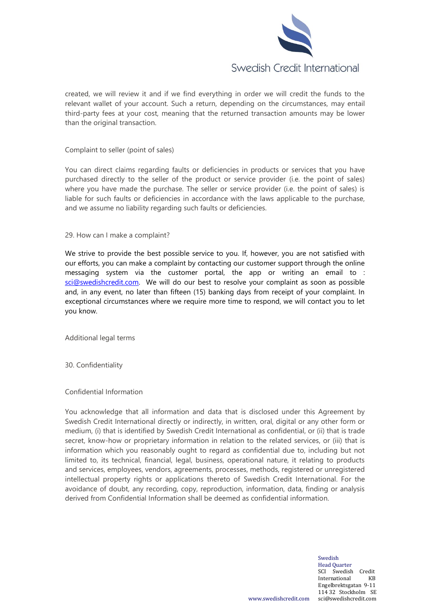

created, we will review it and if we find everything in order we will credit the funds to the relevant wallet of your account. Such a return, depending on the circumstances, may entail third-party fees at your cost, meaning that the returned transaction amounts may be lower than the original transaction.

### Complaint to seller (point of sales)

You can direct claims regarding faults or deficiencies in products or services that you have purchased directly to the seller of the product or service provider (i.e. the point of sales) where you have made the purchase. The seller or service provider (i.e. the point of sales) is liable for such faults or deficiencies in accordance with the laws applicable to the purchase, and we assume no liability regarding such faults or deficiencies.

#### 29. How can I make a complaint?

We strive to provide the best possible service to you. If, however, you are not satisfied with our efforts, you can make a complaint by contacting our customer support through the online messaging system via the customer portal, the app or writing an email to : [sci@swedishcredit.com.](mailto:sci@swedishcredit.com) We will do our best to resolve your complaint as soon as possible and, in any event, no later than fifteen (15) banking days from receipt of your complaint. In exceptional circumstances where we require more time to respond, we will contact you to let you know.

Additional legal terms

30. Confidentiality

Confidential Information

You acknowledge that all information and data that is disclosed under this Agreement by Swedish Credit International directly or indirectly, in written, oral, digital or any other form or medium, (i) that is identified by Swedish Credit International as confidential, or (ii) that is trade secret, know-how or proprietary information in relation to the related services, or (iii) that is information which you reasonably ought to regard as confidential due to, including but not limited to, its technical, financial, legal, business, operational nature, it relating to products and services, employees, vendors, agreements, processes, methods, registered or unregistered intellectual property rights or applications thereto of Swedish Credit International. For the avoidance of doubt, any recording, copy, reproduction, information, data, finding or analysis derived from Confidential Information shall be deemed as confidential information.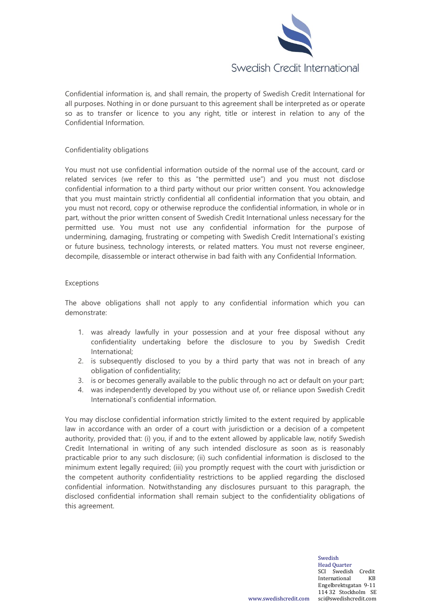

Confidential information is, and shall remain, the property of Swedish Credit International for all purposes. Nothing in or done pursuant to this agreement shall be interpreted as or operate so as to transfer or licence to you any right, title or interest in relation to any of the Confidential Information.

## Confidentiality obligations

You must not use confidential information outside of the normal use of the account, card or related services (we refer to this as "the permitted use") and you must not disclose confidential information to a third party without our prior written consent. You acknowledge that you must maintain strictly confidential all confidential information that you obtain, and you must not record, copy or otherwise reproduce the confidential information, in whole or in part, without the prior written consent of Swedish Credit International unless necessary for the permitted use. You must not use any confidential information for the purpose of undermining, damaging, frustrating or competing with Swedish Credit International's existing or future business, technology interests, or related matters. You must not reverse engineer, decompile, disassemble or interact otherwise in bad faith with any Confidential Information.

## Exceptions

The above obligations shall not apply to any confidential information which you can demonstrate:

- 1. was already lawfully in your possession and at your free disposal without any confidentiality undertaking before the disclosure to you by Swedish Credit International;
- 2. is subsequently disclosed to you by a third party that was not in breach of any obligation of confidentiality;
- 3. is or becomes generally available to the public through no act or default on your part;
- 4. was independently developed by you without use of, or reliance upon Swedish Credit International's confidential information.

You may disclose confidential information strictly limited to the extent required by applicable law in accordance with an order of a court with jurisdiction or a decision of a competent authority, provided that: (i) you, if and to the extent allowed by applicable law, notify Swedish Credit International in writing of any such intended disclosure as soon as is reasonably practicable prior to any such disclosure; (ii) such confidential information is disclosed to the minimum extent legally required; (iii) you promptly request with the court with jurisdiction or the competent authority confidentiality restrictions to be applied regarding the disclosed confidential information. Notwithstanding any disclosures pursuant to this paragraph, the disclosed confidential information shall remain subject to the confidentiality obligations of this agreement.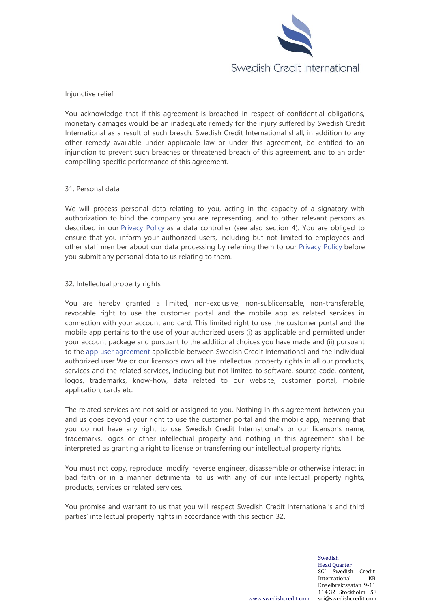

Injunctive relief

You acknowledge that if this agreement is breached in respect of confidential obligations, monetary damages would be an inadequate remedy for the injury suffered by Swedish Credit International as a result of such breach. Swedish Credit International shall, in addition to any other remedy available under applicable law or under this agreement, be entitled to an injunction to prevent such breaches or threatened breach of this agreement, and to an order compelling specific performance of this agreement.

### 31. Personal data

We will process personal data relating to you, acting in the capacity of a signatory with authorization to bind the company you are representing, and to other relevant persons as described in our [Privacy Policy](https://swedishcredit.com/privacy-policy) as a data controller (see also section 4). You are obliged to ensure that you inform your authorized users, including but not limited to employees and other staff member about our data processing by referring them to our [Privacy Policy](https://swedishcredit.com/privacy-policy) before you submit any personal data to us relating to them.

### 32. Intellectual property rights

You are hereby granted a limited, non-exclusive, non-sublicensable, non-transferable, revocable right to use the customer portal and the mobile app as related services in connection with your account and card. This limited right to use the customer portal and the mobile app pertains to the use of your authorized users (i) as applicable and permitted under your account package and pursuant to the additional choices you have made and (ii) pursuant to the [app user agreement](https://swedishcredit.com/app-user-agreement) applicable between Swedish Credit International and the individual authorized user We or our licensors own all the intellectual property rights in all our products, services and the related services, including but not limited to software, source code, content, logos, trademarks, know-how, data related to our website, customer portal, mobile application, cards etc.

The related services are not sold or assigned to you. Nothing in this agreement between you and us goes beyond your right to use the customer portal and the mobile app, meaning that you do not have any right to use Swedish Credit International's or our licensor's name, trademarks, logos or other intellectual property and nothing in this agreement shall be interpreted as granting a right to license or transferring our intellectual property rights.

You must not copy, reproduce, modify, reverse engineer, disassemble or otherwise interact in bad faith or in a manner detrimental to us with any of our intellectual property rights, products, services or related services.

You promise and warrant to us that you will respect Swedish Credit International's and third parties' intellectual property rights in accordance with this section 32.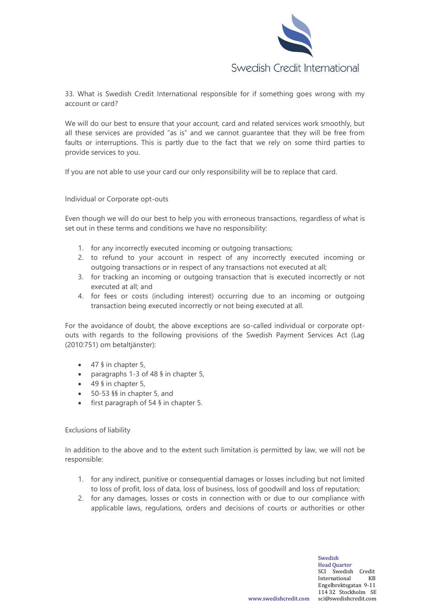

33. What is Swedish Credit International responsible for if something goes wrong with my account or card?

We will do our best to ensure that your account, card and related services work smoothly, but all these services are provided "as is" and we cannot guarantee that they will be free from faults or interruptions. This is partly due to the fact that we rely on some third parties to provide services to you.

If you are not able to use your card our only responsibility will be to replace that card.

Individual or Corporate opt-outs

Even though we will do our best to help you with erroneous transactions, regardless of what is set out in these terms and conditions we have no responsibility:

- 1. for any incorrectly executed incoming or outgoing transactions;
- 2. to refund to your account in respect of any incorrectly executed incoming or outgoing transactions or in respect of any transactions not executed at all;
- 3. for tracking an incoming or outgoing transaction that is executed incorrectly or not executed at all; and
- 4. for fees or costs (including interest) occurring due to an incoming or outgoing transaction being executed incorrectly or not being executed at all.

For the avoidance of doubt, the above exceptions are so-called individual or corporate optouts with regards to the following provisions of the Swedish Payment Services Act (Lag (2010:751) om betaltjänster):

- 47 § in chapter 5,
- paragraphs 1-3 of 48 § in chapter 5,
- $\bullet$  49 § in chapter 5,
- 50-53 §§ in chapter 5, and
- first paragraph of 54 § in chapter 5.

## Exclusions of liability

In addition to the above and to the extent such limitation is permitted by law, we will not be responsible:

- 1. for any indirect, punitive or consequential damages or losses including but not limited to loss of profit, loss of data, loss of business, loss of goodwill and loss of reputation;
- 2. for any damages, losses or costs in connection with or due to our compliance with applicable laws, regulations, orders and decisions of courts or authorities or other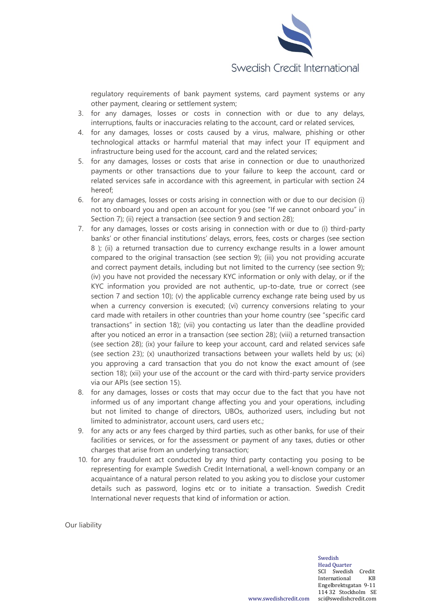

regulatory requirements of bank payment systems, card payment systems or any other payment, clearing or settlement system;

- 3. for any damages, losses or costs in connection with or due to any delays, interruptions, faults or inaccuracies relating to the account, card or related services,
- 4. for any damages, losses or costs caused by a virus, malware, phishing or other technological attacks or harmful material that may infect your IT equipment and infrastructure being used for the account, card and the related services;
- 5. for any damages, losses or costs that arise in connection or due to unauthorized payments or other transactions due to your failure to keep the account, card or related services safe in accordance with this agreement, in particular with section 24 hereof;
- 6. for any damages, losses or costs arising in connection with or due to our decision (i) not to onboard you and open an account for you (see "If we cannot onboard you" in Section 7); (ii) reject a transaction (see section 9 and section 28);
- 7. for any damages, losses or costs arising in connection with or due to (i) third-party banks' or other financial institutions' delays, errors, fees, costs or charges (see section 8 ); (ii) a returned transaction due to currency exchange results in a lower amount compared to the original transaction (see section 9); (iii) you not providing accurate and correct payment details, including but not limited to the currency (see section 9); (iv) you have not provided the necessary KYC information or only with delay, or if the KYC information you provided are not authentic, up-to-date, true or correct (see section 7 and section 10); (v) the applicable currency exchange rate being used by us when a currency conversion is executed; (vi) currency conversions relating to your card made with retailers in other countries than your home country (see "specific card transactions" in section 18); (vii) you contacting us later than the deadline provided after you noticed an error in a transaction (see section 28); (viii) a returned transaction (see section 28); (ix) your failure to keep your account, card and related services safe (see section 23); (x) unauthorized transactions between your wallets held by us; (xi) you approving a card transaction that you do not know the exact amount of (see section 18); (xii) your use of the account or the card with third-party service providers via our APIs (see section 15).
- 8. for any damages, losses or costs that may occur due to the fact that you have not informed us of any important change affecting you and your operations, including but not limited to change of directors, UBOs, authorized users, including but not limited to administrator, account users, card users etc.;
- 9. for any acts or any fees charged by third parties, such as other banks, for use of their facilities or services, or for the assessment or payment of any taxes, duties or other charges that arise from an underlying transaction;
- 10. for any fraudulent act conducted by any third party contacting you posing to be representing for example Swedish Credit International, a well-known company or an acquaintance of a natural person related to you asking you to disclose your customer details such as password, logins etc or to initiate a transaction. Swedish Credit International never requests that kind of information or action.

Our liability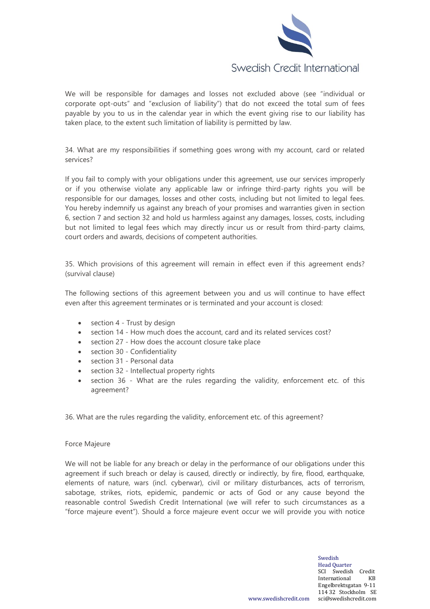

We will be responsible for damages and losses not excluded above (see "individual or corporate opt-outs" and "exclusion of liability") that do not exceed the total sum of fees payable by you to us in the calendar year in which the event giving rise to our liability has taken place, to the extent such limitation of liability is permitted by law.

34. What are my responsibilities if something goes wrong with my account, card or related services?

If you fail to comply with your obligations under this agreement, use our services improperly or if you otherwise violate any applicable law or infringe third-party rights you will be responsible for our damages, losses and other costs, including but not limited to legal fees. You hereby indemnify us against any breach of your promises and warranties given in section 6, section 7 and section 32 and hold us harmless against any damages, losses, costs, including but not limited to legal fees which may directly incur us or result from third-party claims, court orders and awards, decisions of competent authorities.

35. Which provisions of this agreement will remain in effect even if this agreement ends? (survival clause)

The following sections of this agreement between you and us will continue to have effect even after this agreement terminates or is terminated and your account is closed:

- section 4 Trust by design
- section 14 How much does the account, card and its related services cost?
- section 27 How does the account closure take place
- section 30 Confidentiality
- section 31 Personal data
- section 32 Intellectual property rights
- section 36 What are the rules regarding the validity, enforcement etc. of this agreement?

36. What are the rules regarding the validity, enforcement etc. of this agreement?

#### Force Majeure

We will not be liable for any breach or delay in the performance of our obligations under this agreement if such breach or delay is caused, directly or indirectly, by fire, flood, earthquake, elements of nature, wars (incl. cyberwar), civil or military disturbances, acts of terrorism, sabotage, strikes, riots, epidemic, pandemic or acts of God or any cause beyond the reasonable control Swedish Credit International (we will refer to such circumstances as a "force majeure event"). Should a force majeure event occur we will provide you with notice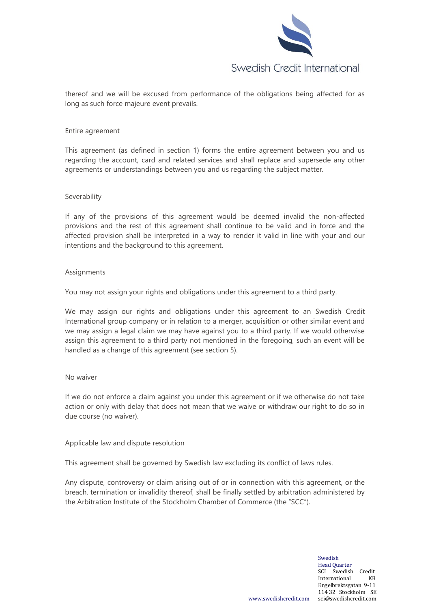

thereof and we will be excused from performance of the obligations being affected for as long as such force majeure event prevails.

#### Entire agreement

This agreement (as defined in section 1) forms the entire agreement between you and us regarding the account, card and related services and shall replace and supersede any other agreements or understandings between you and us regarding the subject matter.

#### Severability

If any of the provisions of this agreement would be deemed invalid the non-affected provisions and the rest of this agreement shall continue to be valid and in force and the affected provision shall be interpreted in a way to render it valid in line with your and our intentions and the background to this agreement.

### Assignments

You may not assign your rights and obligations under this agreement to a third party.

We may assign our rights and obligations under this agreement to an Swedish Credit International group company or in relation to a merger, acquisition or other similar event and we may assign a legal claim we may have against you to a third party. If we would otherwise assign this agreement to a third party not mentioned in the foregoing, such an event will be handled as a change of this agreement (see section 5).

### No waiver

If we do not enforce a claim against you under this agreement or if we otherwise do not take action or only with delay that does not mean that we waive or withdraw our right to do so in due course (no waiver).

## Applicable law and dispute resolution

This agreement shall be governed by Swedish law excluding its conflict of laws rules.

Any dispute, controversy or claim arising out of or in connection with this agreement, or the breach, termination or invalidity thereof, shall be finally settled by arbitration administered by the Arbitration Institute of the Stockholm Chamber of Commerce (the "SCC").